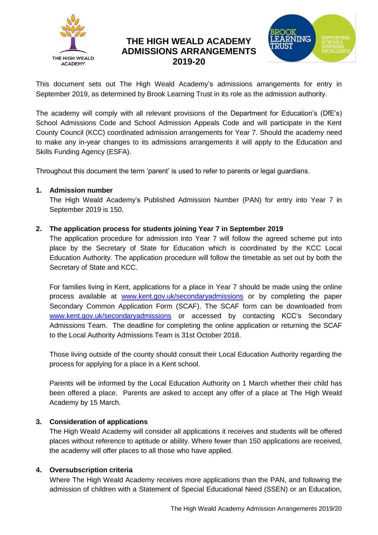

# **THE HIGH WEALD ACADEMY ADMISSIONS ARRANGEMENTS 2019-20**



This document sets out The High Weald Academy's admissions arrangements for entry in September 2019, as determined by Brook Learning Trust in its role as the admission authority.

The academy will comply with all relevant provisions of the Department for Education's (DfE's) School Admissions Code and School Admission Appeals Code and will participate in the Kent County Council (KCC) coordinated admission arrangements for Year 7. Should the academy need to make any in-year changes to its admissions arrangements it will apply to the Education and Skills Funding Agency (ESFA).

Throughout this document the term 'parent' is used to refer to parents or legal guardians.

# **1. Admission number**

The High Weald Academy's Published Admission Number (PAN) for entry into Year 7 in September 2019 is 150.

## **2. The application process for students joining Year 7 in September 2019**

The application procedure for admission into Year 7 will follow the agreed scheme put into place by the Secretary of State for Education which is coordinated by the KCC Local Education Authority. The application procedure will follow the timetable as set out by both the Secretary of State and KCC.

For families living in Kent, applications for a place in Year 7 should be made using the online process available at <www.kent.gov.uk/secondaryadmissions> or by completing the paper Secondary Common Application Form (SCAF). The SCAF form can be downloaded from [www.kent.gov.uk/secondaryadmissions](http://www.kent.gov.uk/secondaryadmissions) or accessed by contacting KCC's Secondary Admissions Team. The deadline for completing the online application or returning the SCAF to the Local Authority Admissions Team is 31st October 2018.

Those living outside of the county should consult their Local Education Authority regarding the process for applying for a place in a Kent school.

Parents will be informed by the Local Education Authority on 1 March whether their child has been offered a place. Parents are asked to accept any offer of a place at The High Weald Academy by 15 March*.*

# **3. Consideration of applications**

The High Weald Academy will consider all applications it receives and students will be offered places without reference to aptitude or ability. Where fewer than 150 applications are received, the academy will offer places to all those who have applied.

#### **4. Oversubscription criteria**

Where The High Weald Academy receives more applications than the PAN, and following the admission of children with a Statement of Special Educational Need (SSEN) or an Education,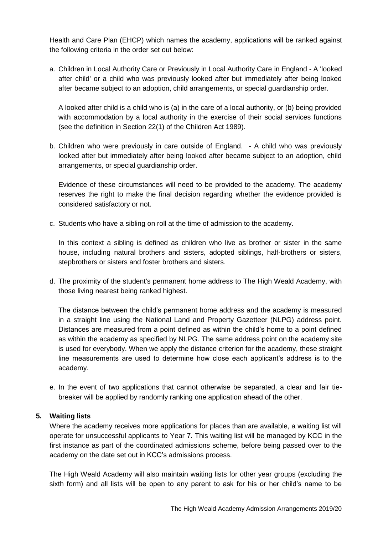Health and Care Plan (EHCP) which names the academy, applications will be ranked against the following criteria in the order set out below:

a. Children in Local Authority Care or Previously in Local Authority Care in England - A 'looked after child' or a child who was previously looked after but immediately after being looked after became subject to an adoption, child arrangements, or special guardianship order.

A looked after child is a child who is (a) in the care of a local authority, or (b) being provided with accommodation by a local authority in the exercise of their social services functions (see the definition in Section 22(1) of the Children Act 1989).

b. Children who were previously in care outside of England. - A child who was previously looked after but immediately after being looked after became subject to an adoption, child arrangements, or special guardianship order.

Evidence of these circumstances will need to be provided to the academy. The academy reserves the right to make the final decision regarding whether the evidence provided is considered satisfactory or not.

c. Students who have a sibling on roll at the time of admission to the academy.

In this context a sibling is defined as children who live as brother or sister in the same house, including natural brothers and sisters, adopted siblings, half-brothers or sisters, stepbrothers or sisters and foster brothers and sisters.

d. The proximity of the student's permanent home address to The High Weald Academy, with those living nearest being ranked highest.

The distance between the child's permanent home address and the academy is measured in a straight line using the National Land and Property Gazetteer (NLPG) address point. Distances are measured from a point defined as within the child's home to a point defined as within the academy as specified by NLPG. The same address point on the academy site is used for everybody. When we apply the distance criterion for the academy, these straight line measurements are used to determine how close each applicant's address is to the academy.

e. In the event of two applications that cannot otherwise be separated, a clear and fair tiebreaker will be applied by randomly ranking one application ahead of the other.

#### **5. Waiting lists**

Where the academy receives more applications for places than are available, a waiting list will operate for unsuccessful applicants to Year 7. This waiting list will be managed by KCC in the first instance as part of the coordinated admissions scheme, before being passed over to the academy on the date set out in KCC's admissions process.

The High Weald Academy will also maintain waiting lists for other year groups (excluding the sixth form) and all lists will be open to any parent to ask for his or her child's name to be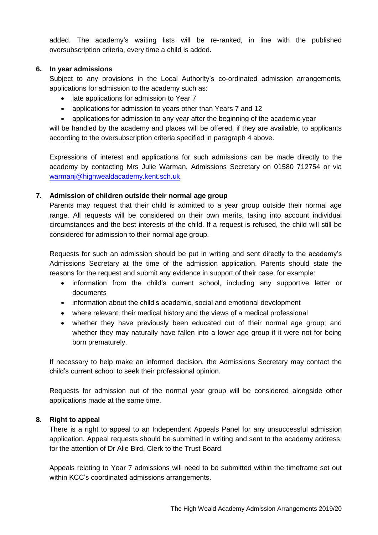added. The academy's waiting lists will be re-ranked, in line with the published oversubscription criteria, every time a child is added.

### **6. In year admissions**

Subject to any provisions in the Local Authority's co-ordinated admission arrangements, applications for admission to the academy such as:

- late applications for admission to Year 7
- applications for admission to years other than Years 7 and 12
- applications for admission to any year after the beginning of the academic year

will be handled by the academy and places will be offered, if they are available, to applicants according to the oversubscription criteria specified in paragraph 4 above.

Expressions of interest and applications for such admissions can be made directly to the academy by contacting Mrs Julie Warman, Admissions Secretary on 01580 712754 or via [warmanj@highwealdacademy.kent.sch.uk.](mailto:warmanj@highwealdacademy.kent.sch.uk)

## **7. Admission of children outside their normal age group**

Parents may request that their child is admitted to a year group outside their normal age range. All requests will be considered on their own merits, taking into account individual circumstances and the best interests of the child. If a request is refused, the child will still be considered for admission to their normal age group.

Requests for such an admission should be put in writing and sent directly to the academy's Admissions Secretary at the time of the admission application. Parents should state the reasons for the request and submit any evidence in support of their case, for example:

- information from the child's current school, including any supportive letter or documents
- information about the child's academic, social and emotional development
- where relevant, their medical history and the views of a medical professional
- whether they have previously been educated out of their normal age group; and whether they may naturally have fallen into a lower age group if it were not for being born prematurely.

If necessary to help make an informed decision, the Admissions Secretary may contact the child's current school to seek their professional opinion.

Requests for admission out of the normal year group will be considered alongside other applications made at the same time.

#### **8. Right to appeal**

There is a right to appeal to an Independent Appeals Panel for any unsuccessful admission application. Appeal requests should be submitted in writing and sent to the academy address, for the attention of Dr Alie Bird, Clerk to the Trust Board.

Appeals relating to Year 7 admissions will need to be submitted within the timeframe set out within KCC's coordinated admissions arrangements.